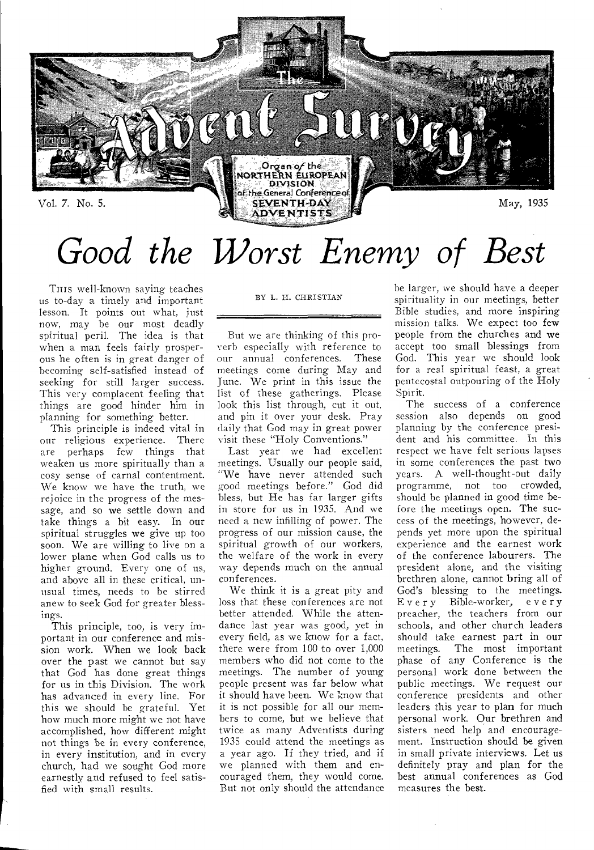

# *Good the Worst Enemy of Best*

THIS well-known saying teaches us to-day a timely and important lesson. It points out what, just now, may he our most deadly spiritual peril. The idea is that when a man feels fairly prosperous he often is in great danger of becoming self-satisfied instead of seeking for still larger success. This very complacent feeling that things are good hinder him in planning for something better.

This principle is indeed vital in our religious experience. There are perhaps few things that weaken us more spiritually than a cosy sense of carnal contentment. We know we have the truth, we rejoice in the progress of the message, and so we settle down and take things a bit easy. In our spiritual struggles we give up too soon. We are willing to live on a lower plane when God calls us to higher ground. Every one of us, and above all in these critical, unusual times, needs to he stirred anew to seek God for greater blessings.

This principle, too, is very important in our conference and mission work. When we look back over the past we cannot but say that God has done great things for us in this Division. The work has advanced in every line. For this we should be grateful. Yet how much more might we not have accomplished, how different might not things be in every conference, in every institution, and in every church, had we sought God more earnestly and refused to feel satisfied with small results.

#### BY L. II. CIIRISTIAN

But we are thinking of this proverb especially with reference to our annual conferences. These meetings come during May and June. We print in this issue the list of these gatherings. Please look this list through, cut it out, and pin it over your desk. Pray daily that God may in great power visit these "Holy Conventions."

Last year we had excellent meetings. Usually our people said, "We have never attended such good meetings before." God did bless, but He has far larger gifts in store for us in 1935. And we need a new infilling of power. The progress of our mission cause, the spiritual growth of our workers, the welfare of the work in every way depends much on the annual conferences.

We think it is a great pity and loss that these conferences are not better attended. While the attendance last year was good, yet in every field, as we know for a fact, there were from 100 to over 1,000 members who did not come to the meetings. The number of young people present was far below what it should have been. We know that it is not possible for all our members to come, but we believe that twice as many Adventists during 1935 could attend the meetings as a year ago. If they tried, and if we planned with them and encouraged them, they would come. But not only should the attendance he larger, we should have a deeper spirituality in our meetings, better Bible studies, and more inspiring mission talks. We expect too few people from the churches and we accept too small blessings from God. This year we should look for a real spiritual feast, a great pentecostal outpouring of the Holy Spirit.

The success of a conference session also depends on good planning by the conference president and his committee. In this respect we have felt serious lapses in some conferences the past two years. A well-thought-out daily programme, not too crowded, should be planned in good time before the meetings open. The success of the meetings, however, depends yet more upon the spiritual experience and the earnest work of the conference labourers. The president alone, and the visiting brethren alone, cannot bring all of God's blessing to the meetings.<br>Every Bible-worker, every Bible-worker, every preacher, the teachers from our schools, and other church leaders should take earnest part in our meetings. The most important The most important phase of any Conference is the personal work done between the public meetings. We request our conference presidents and other leaders this year to plan for much personal work. Our brethren and sisters need help and encouragement. Instruction should be given in small private interviews. Let us definitely pray and plan for the best annual conferences as God measures the best.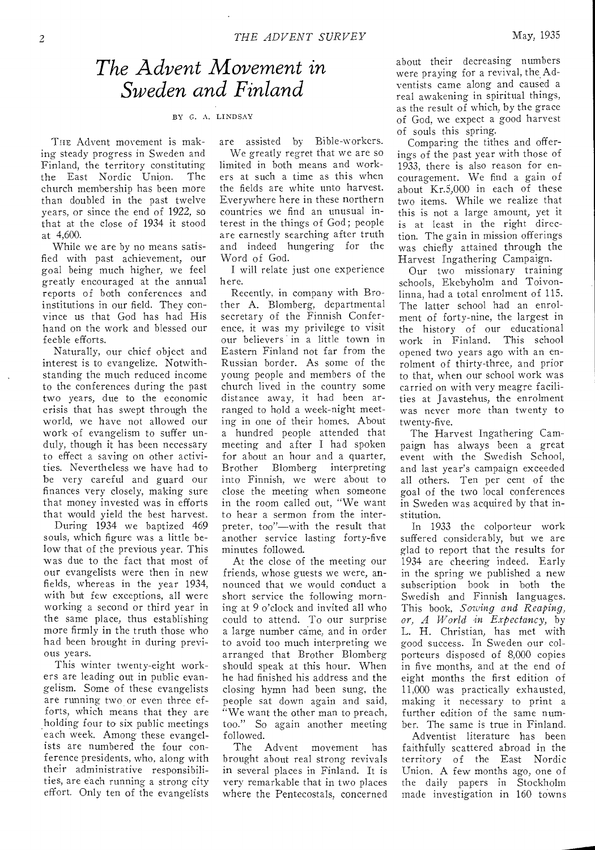### *The Advent Movement in Sweden and Finland*

BY *G.* A. LINDSAY

THE Advent movement is making steady progress in Sweden and Finland, the territory constituting the East Nordic Union. The church membership has been more than doubled in the past twelve years, or since the end of 1922, so that at the close of 1934 it stood at 4,600.

While we are by no means satisfied with past achievement, our goal being much higher, we feel greatly encouraged at the annual reports of both conferences and institutions in our field. They convince us that God has had His hand on the work and blessed our feeble efforts.

Naturally, our chief object and interest is to evangelize. Notwithstanding the much reduced income to the conferences during the past two years, due to the economic crisis that has swept through the world, we have not allowed our work of evangelism to suffer unduly, though it has been necessary to effect a saving on other activities. Nevertheless we have had to be very careful and guard our finances very closely, making sure that money invested was in efforts that would yield the best harvest.

During 1934 we baptized 469 souls, which figure was a little below that of the previous year. This was due to the fact that most of our evangelists were then in new fields, whereas in the year 1934, with but few exceptions, all were working a second or third year in the same place, thus establishing more firmly in the truth those who had been brought in during previous years.

This winter twenty-eight workers are leading out in public evangelism. Some of these evangelists are running two or even three efforts, which means that they are holding four to six public meetings each week. Among these evangelists are numbered the four conference presidents, who, along with their administrative responsibilities, are each running a strong city effort. Only ten of the evangelists are assisted by Bible-workers. We greatly regret that we are so limited in both means and workers at such a time as this when the fields are white unto harvest. Everywhere here in these northern countries we find an unusual interest in the things of God; people are earnestly searching after truth and indeed hungering for the Word of God.

I will relate just one experience here.

Recently, in company with Brother A. Blomberg, departmental secretary of the Finnish Conference, it was my privilege to visit our believers in a little town in Eastern Finland not far from the Russian border. As some of the young people and members of the church lived in the country some distance away, it had been arranged to hold a week-night meeting in one of their homes. About a hundred people attended that meeting and after I had spoken for about an hour and a quarter,<br>Brother Blomberg interpreting Blomberg interpreting into Finnish, we were about to close the meeting when someone in the room called out, "We want to hear a sermon from the interpreter, too"—with the result that another service lasting forty-five minutes followed.

At the close of the meeting our friends, whose guests we were, announced that we would conduct a short service the following morning at 9 o'clock and invited all who could to attend. To our surprise a large number came, and in order to avoid too much interpreting we arranged that Brother Blomberg should speak at this hour. When he had finished his address and the closing hymn had been sung, the people sat down again and said, "We want the other man to preach, too." So again another meeting followed.

The Advent movement has brought about real strong revivals in several places in Finland. It is very remarkable that in two places where the Pentecostals, concerned

about their decreasing numbers were praying for a revival, the Adventists came along and caused a real awakening in spiritual things, as the result of which, by the grace of God, we expect a good harvest of souls this spring.

Comparing the tithes and offerings of the past year with those of 1933, there is also reason for encouragement. We find a gain of about Kr.5,000 in each of these two items. While we realize that this is not a large amount, yet it is at least in the right direction. The gain in mission offerings was chiefly attained through the Harvest Ingathering Campaign.

Our two missionary training schools, Ekebyholm and Toivonlinna, had a total enrolment of 115. The latter school had an enrolment of forty-nine, the largest in the history of our educational work in Finland. This school opened two years ago with an enrolment of thirty-three, and prior to that, when our school work was carried on with very meagre facilities at Javastehus, the enrolment was never more than twenty to twenty-five.

The Harvest Ingathering Campaign has always been a great event with the Swedish School, and last year's campaign exceeded all others. Ten per cent of the goal of the two local conferences in Sweden was acquired by that institution.

In 1933 the colporteur work suffered considerably, but we are glad to report that the results for 1934 are cheering indeed. Early in the spring we published a new subscription book in both the Swedish and Finnish languages. This book, *Sowing and Reaping, or, A World in Expectancy,* by L. H. Christian, has met with good success. In Sweden our colporteurs disposed of 8,000 copies in five months, and at the end of eight months the first edition of 11,000 was practically exhausted, making it necessary to print a further edition of the same number. The same is true in Finland.

Adventist literature has been faithfully scattered abroad in the territory of the East Nordic Union. A few months ago, one of the daily papers in Stockholm made investigation in 160 towns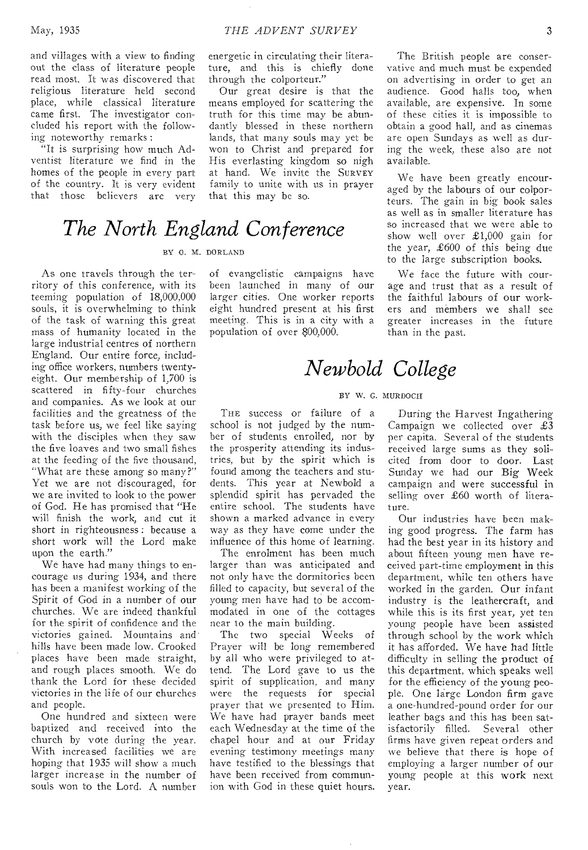and villages with a view to finding out the class of literature people read most. It was discovered that religious literature held second place, while classical literature came first. The investigator concluded his report with the following noteworthy remarks :

"It is surprising how much Adventist literature we find in the homes of the people in every part of the country. It is very evident that those believers are very energetic in circulating their literature, and this is chiefly done through the colporteur."

Our great desire is that the means employed for scattering the truth for this time may be abundantly blessed in these northern lands, that many souls may yet be won to Christ and prepared for His everlasting kingdom so nigh at hand. We invite the SURVEY family to unite with us in prayer that this may be so.

### *The North England Conference*

#### BY 0. M. DORLAND

As one travels through the territory of this conference, with its teeming population of 18,000,000 souls, it is overwhelming to think of the task of warning this great mass of humanity located in the large industrial centres of northern England. Our entire force, including office workers, numbers twentyeight. Our membership of 1,700 is scattered in fifty-four churches and companies. As we look at our facilities and the greatness of the task before us, we feel like saying with the disciples when they saw the five loaves and two small fishes at the feeding of the five thousand, "What are these among so many?" Yet we are not discouraged, for we are invited to look to the power of God. He has promised that "He will finish the work, and cut it short in righteousness : because a short work will the Lord make upon the earth."

We have had many things to encourage us during 1934, and there has been a manifest working of the Spirit of God in a number of our churches. We are indeed thankful for the spirit of confidence and the victories gained. Mountains and' hills have been made low. Crooked places have been made straight, and rough places smooth. We do thank the Lord for these decided victories in the life of our churches and people.

One hundred and sixteen were baptized and received into the church by vote during the year. With increased facilities we are hoping that 1935 will show a much larger increase in the number of souls won to the Lord. A number of evangelistic campaigns have been launched in many of our larger cities. One worker reports eight hundred present at his first meeting. This is in a city with a population of over 800,000.

The British people are conservative and much must be expended on advertising in order to get an audience. Good halls too, when available, are expensive. In some of these cities it is impossible to obtain a good hall, and as cinemas are open Sundays as well as during the week, these also are not available.

We have been greatly encouraged by the labours of our colporteurs. The gain in big book sales as well as in smaller literature has so increased that we were able to show well over £1,000 gain for the year, £600 of this being due to the large subscription books.

We face the future with courage and trust that as a result of the faithful labours of our workers and members we shall see greater increases in the future than in the past.

## *Newbold College*

#### BY W. G. MURDOCH

THE success or failure of a school is not judged by the number of students enrolled, nor by the prosperity attending its industries, but by the spirit which is found among the teachers and students. This year at Newbold a splendid spirit has pervaded the entire school. The students have shown a marked advance in every way as they have come under the influence of this home of learning.

The enrolment has been much larger than was anticipated and not only have the dormitories been filled to capacity, but several of the young men have had to be accommodated in one of the cottages near to the main building.

The two special Weeks of Prayer will be long remembered by all who were privileged to attend. The Lord gave to us the spirit of supplication, and many were the requests for special prayer that we presented to Him. We have had prayer bands meet each Wednesday at the time of the chapel hour and at our Friday evening testimony meetings many have testified to the blessings that have been received from communion with God in these quiet hours.

During the Harvest Ingathering Campaign we collected over £3 per capita. Several of the students received large sums as they solicited from door to door. Last Sunday we had our Big Week campaign and were successful in selling over £60 worth of literature.

Our industries have been making good progress. The farm has had the best year in its history and about fifteen young men have received part-time employment in this department, while ten others have worked in the garden. Our infant industry is the leathercraft, and while this is its first year, yet ten young people have been assisted through school by the work which it has afforded. We have had little difficulty in selling the product of this department, which speaks well for the efficiency of the young people. One large London firm gave a one-hundred-pound order for our leather bags and this has been sat-<br>isfactorily filled. Several other isfactorily filled. firms have given repeat orders and we believe that there is hope of employing a larger number of our young people at this work next year.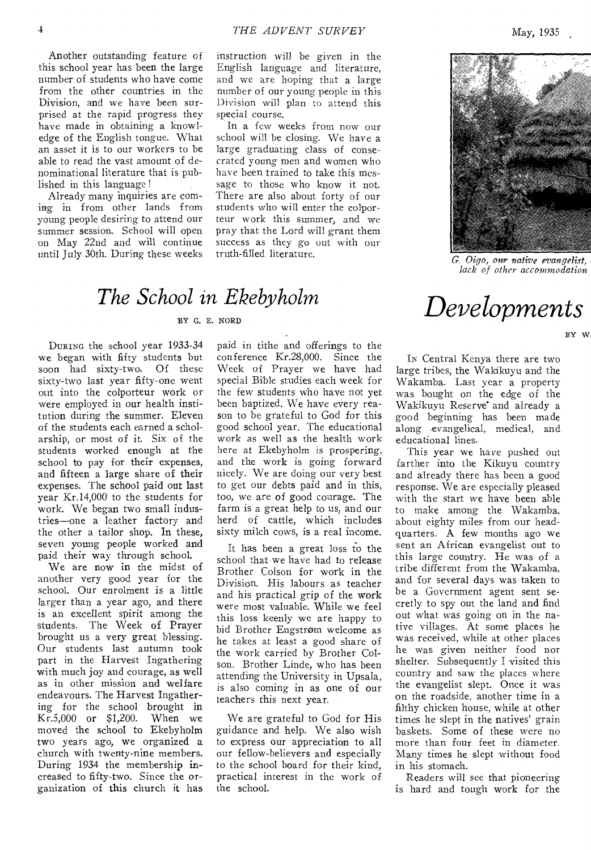Another outstanding feature of this school year has been the large number of students who have come from the other countries in the Division, and we have been surprised at the rapid progress they have made in obtaining a knowledge of the English tongue. What an asset it is to our workers to be able to read the vast amount of denominational literature that is published in this language !

Already many inquiries are coming in from other lands from young people desiring to attend our summer session. School will open on May 22nd and will continue until July 30th. During these weeks

instruction will be given in the English language and literature, and we are hoping that a large number of our young people in this Division will plan to attend this special course.

In a few weeks from now our school will be closing. We have a large graduating class of consecrated young men and women who have been trained to take this message to those who know it not. There are also about forty of our students who will enter the colporteur work this summer, and we pray that the Lord will grant them success as they go out with our<br>truth-filled literature.

### *The School in Ekebyholm*  <sup>BY G. E. NORD</sup> *Developments*

DURING the school year 1933-34 we began with fifty students but soon had sixty-two. Of these sixty-two last year fifty-one went out into the colporteur work or were employed in our health institution during the summer. Eleven of the students each earned a scholarship, or most of it. Six of the students worked enough at the school to pay for their expenses, and fifteen a large share of their expenses. The school paid out last year Kr.14,000 to the students for work. We began two small industries—one a leather factory and the other a tailor shop. In these, seven young people worked and paid their way through school.

We are now in the midst of another very good year for the school. Our enrolment is a little larger than a year ago, and there is an excellent spirit among the students. The Week of Prayer brought us a very great blessing. Our students last autumn took part in the Harvest Ingathering with much joy and courage, as well as in other mission and welfare endeavours. The Harvest Ingathering for the school brought in<br>Kr.5,000 or \$1,200. When we  $Kr.5,000$  or \$1,200. moved the school to Ekebyholm two years ago, we organized a church with twenty-nine members. During 1934 the membership increased to fifty-two. Since the organization of this church it has

paid in tithe and offerings to the conference Kr.28,000. Since the Week of Prayer we have had special Bible studies each week for the few students who have not yet been baptized. We have every reason to be grateful to God for this good school year. The educational work as well as the health work here at Ekebyholm is prospering, and the work is going forward nicely. We are doing our very best to get our debts paid and in this, too, we are of good courage. The farm is a great help to us, and our herd of cattle, which includes sixty milch cows, is a real income.

It has been a great loss to the school that we have had to release Brother Colson for work in the Division. His labours as teacher and his practical grip of the work were most valuable, While we feel this loss keenly we are happy to bid Brother Engstrom welcome as he takes at least a good share of the work carried by Brother Colson. Brother Linde, who has been attending the University in Upsala, is also coming in as one of our teachers this next year.

We are grateful to God for His guidance and help. We also wish to express our appreciation to all our fellow-believers and especially to the school board for their kind, practical interest in the work of the school.

truth-filled literature. *G. Oigo, our native evangelist, lack of other accommodation* 

BY W.

IN Central Kenya there are two large tribes, the Wakikuyu and the Wakamba. Last year a property was bought on the edge of the Wakikuyu Reserve and already a good beginning has been made along evangelical, medical, and educational lines.

This year we have pushed out farther into the Kikuyu country and already there has been a good response. We are especially pleased with the start we have been able to make among the Wakamba, about eighty miles from our headquarters. A few months ago we sent an African evangelist out to this large country. He was of a tribe different from the Wakamba, and for several days was taken to be a Government agent sent secretly to spy out the land and find out what was going on in the native villages. At some places he was received, while at other places he was given neither food nor shelter. Subsequently I visited this country and saw the places where the evangelist slept. Once it was on the roadside, another time in a filthy chicken house, while at other times he slept in the natives' grain baskets. Some of these were no more than four feet in diameter. Many times he slept without food in his stomach.

Readers will see that pioneering is hard and tough work for the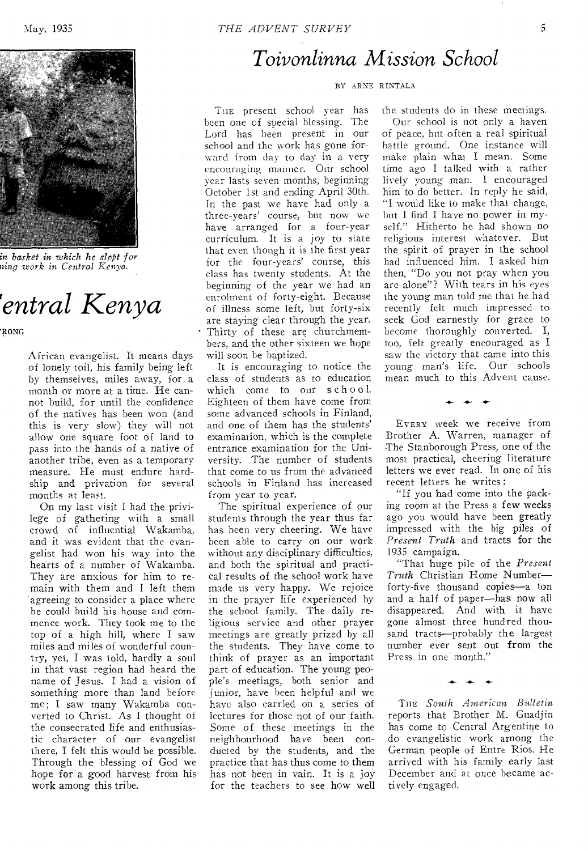

*in basket in which he slept for aing work in Central Kenva.* 

# *rentral Kenya*

RONG

African evangelist. It means days of lonely toil, his family being left by themselves, miles away, for a month or more at a time. He cannot build, for until the confidence of the natives has been won (and this is very slow) they will not allow one square foot of land to pass into the hands of a native of another tribe, even as a temporary measure. He must endure hardship and privation for several months at least.

On my last visit I had the privilege of gathering with a small crowd of influential Wakamba, and it was evident that the evangelist had won his way into the hearts of a number of Wakamba. They are anxious for him to remain with them and I left them agreeing to consider a place where he could build his house and commence work. They took me to the top of a high hill, where I saw miles and miles of wonderful country, yet, I was told, hardly a soul in that vast region had heard the name of Jesus. I had a vision of something more than land before me; I saw many Wakamba converted to Christ. As I thought of the consecrated life and enthusiastic character of our evangelist there, I felt this would be possible. Through the blessing of God we hope for a good harvest from his work among this tribe.

## *Toivonlinna Mission School*

#### BY ARNE RINTALA

TIIE present school year has been one of special blessing. The Lord has been present in our school and the work has gone forward from day to day in a very encouraging manner. Our school year lasts seven months, beginning October 1st and ending April 30th. In the past we have had only a three-years' course, but now we have arranged for a four-year curriculum. It is a joy to state that even though it is the first year for the four-years' course, this class has twenty students. At the beginning of the year we had an enrolment of forty-eight. Because of illness some left, but forty-six are staying clear through the year. Thirty of these are churchmembers, and the other sixteen we hope will soon be baptized.

It is encouraging to notice the class of students as to education which come to our school. Eighteen of them have come from some advanced schools in Finland, and one of them has the students' examination, which is the complete entrance examination for the University. The number of students that come to us from the advanced schools in Finland has increased from year to year.

The spiritual experience of our students through the year thus far has been very cheering. We have been able to carry on our work without any disciplinary difficulties, and both the spiritual and practical results of the school work have made us very happy. We rejoice in the prayer life experienced by the school family. The daily religious service and other prayer meetings are greatly prized by all the students. They have come to think of prayer as an important part of education. The young people's meetings, both senior and junior, have been helpful and we have also carried on a series of lectures for those not of our faith. Some of these meetings in the neighbourhood have been conducted by the students, and the practice that has thus come to them has not been in vain. It is a joy for the teachers to see how well

the students do in these meetings. Our school is not only a haven of peace, but often a real spiritual battle ground. One instance will make plain what I mean. Some time ago I talked with a rather lively young man. I encouraged him to do better. In reply he said, "I would like to make that change, but I find I have no power in myself." Hitherto he had shown no religious interest whatever. But the spirit of prayer in the school had influenced him. I asked him then, "Do you not pray when you are alone"? With tears in his eyes the young man told me that he had recently felt much impressed to seek God earnestly for grace to become thoroughly converted. I, too, felt greatly encouraged as I saw the victory that came into this young man's life. Our schools mean much to this Advent cause.

EVERY week we receive from Brother A. Warren, manager of The Stanborough Press, one of the most practical, cheering literature letters we ever read. In one of his recent letters he writes :

"If you had come into the packing room at the Press a few weeks ago you would have been greatly impressed with the big piles of *Present Truth* and tracts for the 1935 campaign.

"That huge pile of the *Present Truth* Christian Home Number forty-five thousand copies—a ton and a half of paper—has now all disappeared. And with it have gone almost three hundred thousand tracts—probably the largest number ever sent out from the Press in one month."

THE South American Bulletin reports that Brother M. Guadjin has come to Central Argentine to do evangelistic work among the German people of Entre Rios. He arrived with his family early last December and at once became actively engaged.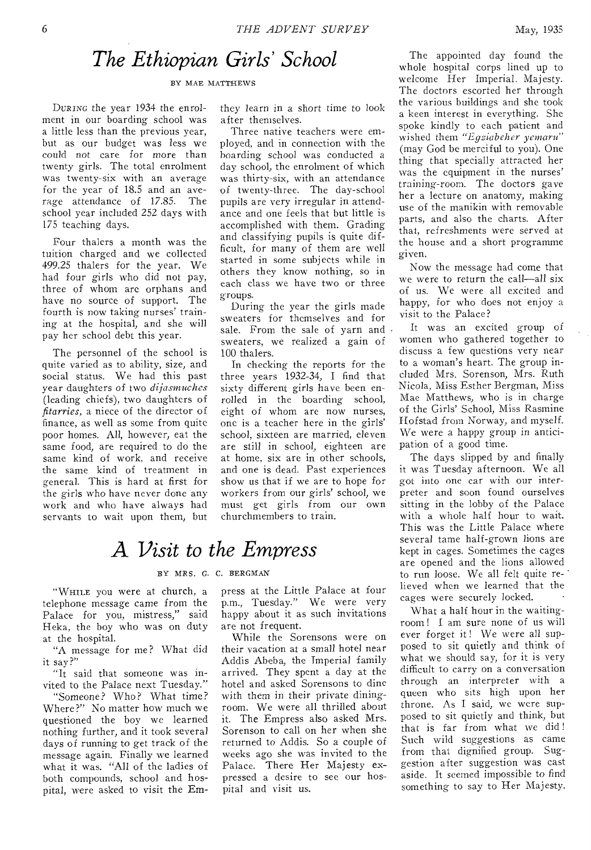### *The Ethiopian Girls' School*

BY MAE MATTHEWS

DURING the year 1934 the enrolment in our boarding school was a little less than the previous year, but as our budget was less we could not care for more than twenty girls. The total enrolment was twenty-six with an average for the year of 18.5 and an average attendance of 17.85. The school year included 252 days with 175 teaching days.

Four thalers a month was the tuition charged and we collected 499.25 thalers for the year. We had four girls who did not pay, three of whom arc orphans and have no source of support. The fourth is now taking nurses' training at the hospital, and she will pay her school debt this year.

The personnel of the school is quite varied as to ability, size, and social status. We had this past year daughters of two *dijasmuches*  (leading chiefs), two daughters of *fitarries,* a niece of the director of finance, as well as some from quite poor homes. All, however, eat the same food, are required to do the same kind of work, and receive the same kind of treatment in general. This is hard at first for the girls who have never done any work and who have always had servants to wait upon them, but

they learn in a short time to look after themselves.

Three native teachers were employed, and in connection with the boarding school was conducted a day school, the enrolment of which was thirty-six, with an attendance of twenty-three. The day-school pupils are very irregular in attendance and one feels that but little is accomplished with them. Grading and classifying pupils is quite difficult, for many of them are well started in some subjects while in others they know nothing, so in each class we have two or three groups.

During the year the girls made sweaters for themselves and for sale. From the sale of yarn and . sweaters, we realized a gain of 100 thalers.

In checking the reports for the three years 1932-34, I find that sixty different girls have been enrolled in the boarding school, eight of whom are now nurses, one is a teacher here in the girls' school, sixteen are married, eleven are still in school, eighteen are at home, six are in other schools, and one is dead. Past experiences show us that if we are to hope for workers from our girls' school, we must get girls from our own churchmembers to train.

### *A Visit to the Empress*

#### BY MRS. G. C. BERGMAN

"WHILE you were at church, a telephone message came from the Palace for you, mistress," said Heka, the boy who was on duty at the hospital.

"A message for me? What did it say?"

"It said that someone was invited to the Palace next Tuesday."

"Someone? Who? What time? Where?" No matter how much we questioned the boy we learned nothing further, and it took several days of running to get track of the message again. Finally we learned what it was. "All of the ladies of both compounds, school and hospital, were asked to visit the Empress at the Little Palace at four p.m., Tuesday." We were very happy about it as such invitations are not frequent.

While the Sorensons were on their vacation at a small hotel near Addis Abeba, the Imperial family arrived. They spent a day at the hotel and asked Sorensons to dine with them in their private diningroom. We were all thrilled about it. The Empress also asked Mrs. Sorenson to call on her when she returned to Addis. So a couple of weeks ago she was invited to the Palace. There Her Majesty expressed a desire to see our hospital and visit us.

The appointed day found the whole hospital corps lined up to welcome Her Imperial. Majesty. The doctors escorted her through the various buildings and she took a keen interest in everything. She spoke kindly to each patient and wished them *"Egziabeher yemaru"*  (may God be merciful to you). One thing that specially attracted her was the equipment in the nurses' training-room. The doctors gave her a lecture on anatomy, making use of the manikin with removable parts, and also the charts. After that, refreshments were served at the house and a short programme given.

Now the message had come that we were to return the call—all six of us. We were all excited and happy, for who does not enjoy a visit to the Palace?

It was an excited group of women who gathered together to discuss a few questions very near to a woman's heart. The group included Mrs. Sorenson, Mrs. Ruth Nicola, Miss Esther Bergman, Miss Mae Matthews, who is in charge of the Girls' School, Miss Rasmine Hofstad from Norway, and myself. We were a happy group in anticipation of a good time.

The days slipped by and finally it was Tuesday afternoon. We all got into one car with our interpreter and soon found ourselves sitting in the lobby of the Palace with a whole half hour to wait. This was the Little Palace where several tame half-grown lions are kept in cages. Sometimes the cages are opened and the lions allowed to run loose. We all felt quite re- ' lieved when we learned that the cages were securely locked.

What a half hour in the waitingroom ! I am sure none of us will ever forget it! We were all supposed to sit quietly and think of what we should say, for it is very difficult to carry on a conversation through an interpreter with a queen who sits high upon her throne. As I said, we were supposed to sit quietly and think, but that is far from what we did! Such wild suggestions as came from that dignified group. Suggestion after suggestion was cast aside. It seemed impossible to find something to say to Her Majesty.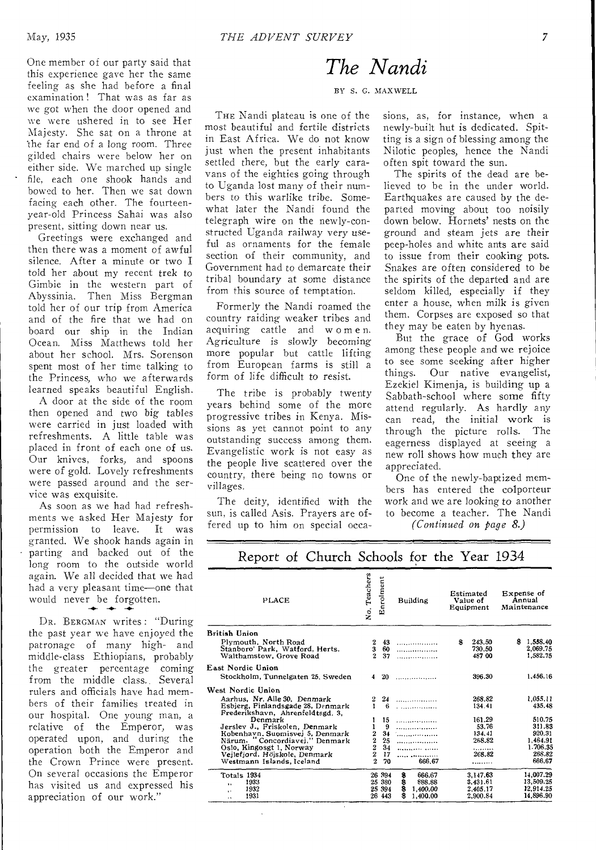One member of our party said that this experience gave her the same feeling as she had before a final examination ! That was as far as we got when the door opened and we were ushered in to see Her Majesty. She sat on a throne at 'the far end of a long room. Three gilded chairs were below her on either side. We marched up single file, each one shook hands and bowed to her. Then we sat down facing each other. The fourteenyear-old Princess Sahai was also present, sitting down near us.

Greetings were exchanged and then there was a moment of awful silence. After a minute or two I told her about my recent trek to Gimbie in the western part of Abyssinia. Then Miss Bergman told her of our trip from America and of the fire that we had on board our ship in the Indian Ocean. Miss Matthews told her about her school. Mrs. Sorenson spent most of her time talking to the Princess, who we afterwards learned speaks beautiful English.

A door at the side of the room then opened and two big tables were carried in just loaded with refreshments. A little table was placed in front of each one of us. Our knives, forks, and spoons were of gold. Lovely refreshments were passed around and the service was exquisite.

As soon as we had had refreshments we asked Her Majesty for<br>permission to leave. It was permission to leave. granted. We shook hands again in parting and backed out of the long room to the outside world again. We all decided that we had had a very pleasant time—one that would never be forgotten.

DR. BERGMAN writes : "During the past year we have enjoyed the patronage of many high- and middle-class Ethiopians, probably the greater percentage coming from the middle class. Several rulers and officials have had members of their families treated in our hospital. One young man, a relative of the Emperor, was operated upon, and during the operation both the Emperor and the Crown Prince were present. On several occasions the Emperor has visited us and expressed his appreciation of our work."

### *The Nandi*

BY S. G. MAXWELL

THE Nandi plateau is one of the most beautiful and fertile districts in East Africa. We do not know just when the present inhabitants settled there, but the early caravans of the eighties going through to Uganda lost many of their numbers to this warlike tribe. Somewhat later the Nandi found the telegraph wire on the newly-constructed Uganda railway very useful as ornaments for the female section of their community, and Government had to demarcate their tribal boundary at some distance from this source of temptation.

Formerly the Nandi roamed the country raiding weaker tribes and acquiring cattle and w o m e n. Agriculture is slowly becoming more popular but cattle lifting from European farms is still a form of life difficult to resist.

The tribe is probably twenty years behind some of the more progressive tribes in Kenya. Missions as yet cannot point to any outstanding success among them. Evangelistic work is not easy as the people live scattered over the country, there being no towns or villages.

The deity, identified with the sun, is called Asis. Prayers are offered up to him on special occasions, as, for instance, when a newly-built hut is dedicated. Spitting is a sign of blessing among the Nilotic peoples, hence the Nandi often spit toward the sun.

The spirits of the dead are believed to be in the under world. Earthquakes are caused by the departed moving about too noisily down below. Hornets' nests on the ground and steam jets are their peep-holes and white ants are said to issue from their cooking pots. Snakes are often considered to be the spirits of the departed and are seldom killed, especially if they enter a house, when milk is *given*  them. Corpses are exposed so that they may be eaten by hyenas.

But the grace of God works among these people and we rejoice to see some seeking after higher things. Our native evangelist, Ezekiel Kimenja, is building up a Sabbath-school where some fifty attend regularly. As hardly any can read, the initial work is through the picture rolls. The eagerness displayed at seeing a new roll shows how much they are appreciated.

One of the newly-baptized members has entered the colporteur work and we are looking to another to become a teacher. The Nandi

*(Continued on page 8.)* 

| PLACE                                                                              | No. Teachers             | Enrolment      | Building                                                                                                              | Estimated<br>Value of<br>Equipment | Expense of<br>Annual<br>Maintenance    |
|------------------------------------------------------------------------------------|--------------------------|----------------|-----------------------------------------------------------------------------------------------------------------------|------------------------------------|----------------------------------------|
| British Union                                                                      |                          |                |                                                                                                                       |                                    |                                        |
| Plymouth. North Road<br>Stanboro' Park, Watford, Herts.<br>Walthamstow. Grove Road | 2<br>3<br>$\overline{2}$ | 43<br>60<br>37 | . <b>. . .</b> .<br>.                                                                                                 | 243.50<br>S<br>730.50<br>487 00    | 1.558.40<br>S.<br>2,069.75<br>1.582.75 |
| East Nordic Union                                                                  |                          |                |                                                                                                                       |                                    |                                        |
| Stockholm, Tunnelgaten 25. Sweden                                                  | 4                        | 20             | .                                                                                                                     | 396.30                             | 1,456.16                               |
| West Nordic Union                                                                  |                          |                |                                                                                                                       |                                    |                                        |
| Aarhus, Nr. Alle 30. Denmark                                                       | 2                        | 24             | .                                                                                                                     | 268.82                             | 1.055.11                               |
| Esbjerg, Finlandsgade 28, Denmark<br>Frederikshavn, Ahrenfeldtsgd. 3,              |                          | 6              | <u>and the community of the community of the community of the community of the community of the community of the </u> | 134.41                             | 435.48                                 |
| Denmark                                                                            |                          | 15             | . <b>.</b>                                                                                                            | 161.29                             | 510.75                                 |
| Jerslev J., Friskolen, Denmark                                                     | 1                        | 9              | .                                                                                                                     | 53.76                              | 311.83                                 |
| Kobenhavn, Suomisvej 5, Denmark                                                    |                          | 34             | .                                                                                                                     | 134.41                             | 920.31                                 |
| Närum, "Concordiavej," Denmark                                                     | $\frac{2}{2}$            | 25             | .                                                                                                                     | 268.82                             | 1.464.91                               |
| Oslo, Kingosgt 1, Norway                                                           |                          | 34             | .                                                                                                                     | .                                  | 1.706.35                               |
| Vejlefjord, Höjskole, Denmark                                                      | $\overline{2}$           | 17             |                                                                                                                       | 268.82                             | 268.82                                 |
| Westmann Islands, Iceland                                                          | $\overline{2}$           | 70             | 666.67                                                                                                                |                                    | 666.67                                 |
| Totals 1934                                                                        |                          | 26 394         | 8<br>666.67                                                                                                           | 3.147.63                           | 14.007.29                              |
| 1933<br>٠.                                                                         |                          | 25 380         | s<br>888.88                                                                                                           | 3.431.61                           | 13,509.25                              |
| 1932<br>s e                                                                        |                          | 25 394         | 8<br>1,400.00                                                                                                         | 2.405.17                           | 12.914.25                              |
| 1931<br>$\ddot{\phantom{1}}$                                                       |                          | 26 443         | \$<br>1,400.00                                                                                                        | 2.900.84                           | 14.896.90                              |
|                                                                                    |                          |                |                                                                                                                       |                                    |                                        |

### Report of Church Schools for the Year 1934